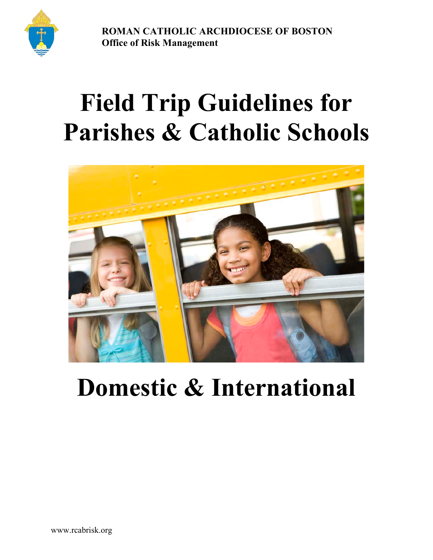**ROMAN CATHOLIC ARCHDIOCESE OF BOSTON O Office of Risk Management**

# **Field Trip Guidelines for Parishes & Catholic Schools**



# **Domestic & International**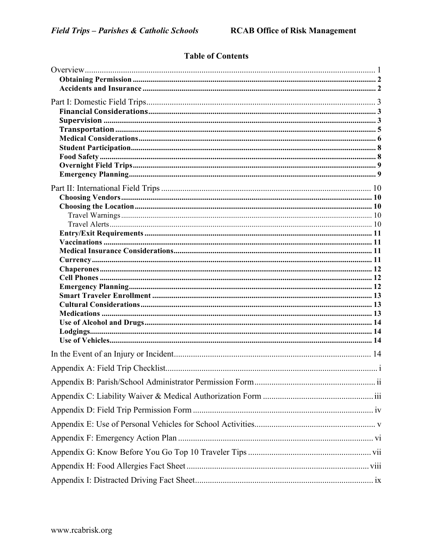# **Table of Contents**

| Appendix B: Parish/School Administrator Permission Form<br>11 |  |
|---------------------------------------------------------------|--|
|                                                               |  |
|                                                               |  |
|                                                               |  |
|                                                               |  |
|                                                               |  |
|                                                               |  |
|                                                               |  |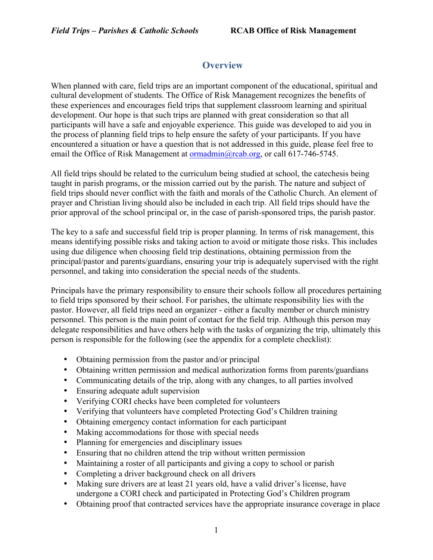# **Overview**

When planned with care, field trips are an important component of the educational, spiritual and cultural development of students. The Office of Risk Management recognizes the benefits of these experiences and encourages field trips that supplement classroom learning and spiritual development. Our hope is that such trips are planned with great consideration so that all participants will have a safe and enjoyable experience. This guide was developed to aid you in the process of planning field trips to help ensure the safety of your participants. If you have encountered a situation or have a question that is not addressed in this guide, please feel free to email the Office of Risk Management at ormadmin@rcab.org, or call 617-746-5745.

All field trips should be related to the curriculum being studied at school, the catechesis being taught in parish programs, or the mission carried out by the parish. The nature and subject of field trips should never conflict with the faith and morals of the Catholic Church. An element of prayer and Christian living should also be included in each trip. All field trips should have the prior approval of the school principal or, in the case of parish-sponsored trips, the parish pastor.

The key to a safe and successful field trip is proper planning. In terms of risk management, this means identifying possible risks and taking action to avoid or mitigate those risks. This includes using due diligence when choosing field trip destinations, obtaining permission from the principal/pastor and parents/guardians, ensuring your trip is adequately supervised with the right personnel, and taking into consideration the special needs of the students.

Principals have the primary responsibility to ensure their schools follow all procedures pertaining to field trips sponsored by their school. For parishes, the ultimate responsibility lies with the pastor. However, all field trips need an organizer - either a faculty member or church ministry personnel. This person is the main point of contact for the field trip. Although this person may delegate responsibilities and have others help with the tasks of organizing the trip, ultimately this person is responsible for the following (see the appendix for a complete checklist):

- Obtaining permission from the pastor and/or principal
- Obtaining written permission and medical authorization forms from parents/guardians
- Communicating details of the trip, along with any changes, to all parties involved
- Ensuring adequate adult supervision
- Verifying CORI checks have been completed for volunteers
- Verifying that volunteers have completed Protecting God's Children training
- Obtaining emergency contact information for each participant
- Making accommodations for those with special needs
- Planning for emergencies and disciplinary issues
- Ensuring that no children attend the trip without written permission
- Maintaining a roster of all participants and giving a copy to school or parish
- Completing a driver background check on all drivers
- Making sure drivers are at least 21 years old, have a valid driver's license, have undergone a CORI check and participated in Protecting God's Children program
- Obtaining proof that contracted services have the appropriate insurance coverage in place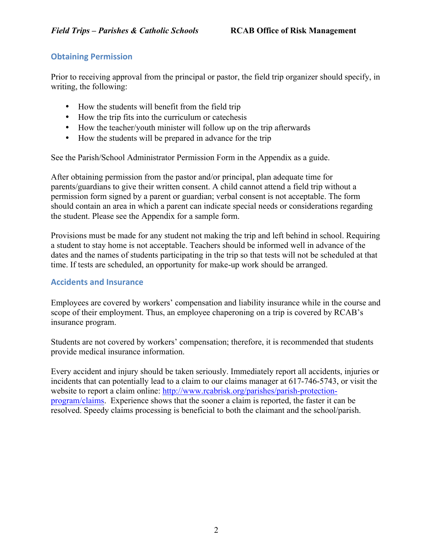#### **Obtaining Permission**

Prior to receiving approval from the principal or pastor, the field trip organizer should specify, in writing, the following:

- How the students will benefit from the field trip
- How the trip fits into the curriculum or cate chesis
- How the teacher/youth minister will follow up on the trip afterwards
- How the students will be prepared in advance for the trip

See the Parish/School Administrator Permission Form in the Appendix as a guide.

After obtaining permission from the pastor and/or principal, plan adequate time for parents/guardians to give their written consent. A child cannot attend a field trip without a permission form signed by a parent or guardian; verbal consent is not acceptable. The form should contain an area in which a parent can indicate special needs or considerations regarding the student. Please see the Appendix for a sample form.

Provisions must be made for any student not making the trip and left behind in school. Requiring a student to stay home is not acceptable. Teachers should be informed well in advance of the dates and the names of students participating in the trip so that tests will not be scheduled at that time. If tests are scheduled, an opportunity for make-up work should be arranged.

#### **Accidents and Insurance**

Employees are covered by workers' compensation and liability insurance while in the course and scope of their employment. Thus, an employee chaperoning on a trip is covered by RCAB's insurance program.

Students are not covered by workers' compensation; therefore, it is recommended that students provide medical insurance information.

Every accident and injury should be taken seriously. Immediately report all accidents, injuries or incidents that can potentially lead to a claim to our claims manager at 617-746-5743, or visit the website to report a claim online: http://www.rcabrisk.org/parishes/parish-protectionprogram/claims. Experience shows that the sooner a claim is reported, the faster it can be resolved. Speedy claims processing is beneficial to both the claimant and the school/parish.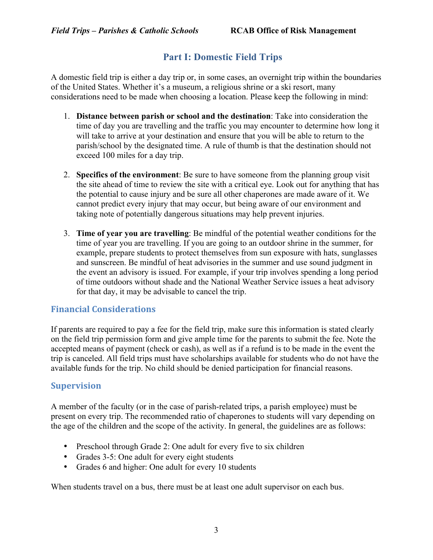# **Part I: Domestic Field Trips**

A domestic field trip is either a day trip or, in some cases, an overnight trip within the boundaries of the United States. Whether it's a museum, a religious shrine or a ski resort, many considerations need to be made when choosing a location. Please keep the following in mind:

- 1. **Distance between parish or school and the destination**: Take into consideration the time of day you are travelling and the traffic you may encounter to determine how long it will take to arrive at your destination and ensure that you will be able to return to the parish/school by the designated time. A rule of thumb is that the destination should not exceed 100 miles for a day trip.
- 2. **Specifics of the environment**: Be sure to have someone from the planning group visit the site ahead of time to review the site with a critical eye. Look out for anything that has the potential to cause injury and be sure all other chaperones are made aware of it. We cannot predict every injury that may occur, but being aware of our environment and taking note of potentially dangerous situations may help prevent injuries.
- 3. **Time of year you are travelling**: Be mindful of the potential weather conditions for the time of year you are travelling. If you are going to an outdoor shrine in the summer, for example, prepare students to protect themselves from sun exposure with hats, sunglasses and sunscreen. Be mindful of heat advisories in the summer and use sound judgment in the event an advisory is issued. For example, if your trip involves spending a long period of time outdoors without shade and the National Weather Service issues a heat advisory for that day, it may be advisable to cancel the trip.

# **Financial Considerations**

If parents are required to pay a fee for the field trip, make sure this information is stated clearly on the field trip permission form and give ample time for the parents to submit the fee. Note the accepted means of payment (check or cash), as well as if a refund is to be made in the event the trip is canceled. All field trips must have scholarships available for students who do not have the available funds for the trip. No child should be denied participation for financial reasons.

#### **Supervision**

A member of the faculty (or in the case of parish-related trips, a parish employee) must be present on every trip. The recommended ratio of chaperones to students will vary depending on the age of the children and the scope of the activity. In general, the guidelines are as follows:

- Preschool through Grade 2: One adult for every five to six children
- Grades 3-5: One adult for every eight students
- Grades 6 and higher: One adult for every 10 students

When students travel on a bus, there must be at least one adult supervisor on each bus.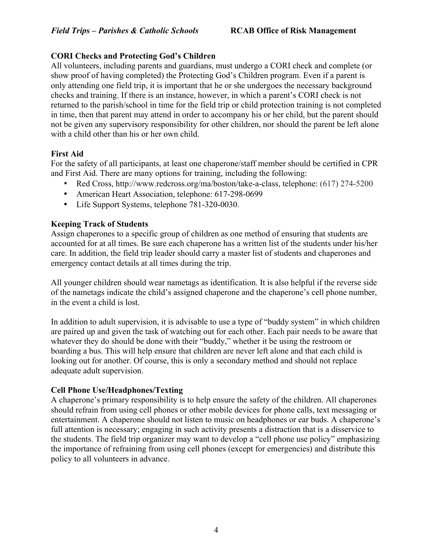#### **CORI Checks and Protecting God's Children**

All volunteers, including parents and guardians, must undergo a CORI check and complete (or show proof of having completed) the Protecting God's Children program. Even if a parent is only attending one field trip, it is important that he or she undergoes the necessary background checks and training. If there is an instance, however, in which a parent's CORI check is not returned to the parish/school in time for the field trip or child protection training is not completed in time, then that parent may attend in order to accompany his or her child, but the parent should not be given any supervisory responsibility for other children, nor should the parent be left alone with a child other than his or her own child.

#### **First Aid**

For the safety of all participants, at least one chaperone/staff member should be certified in CPR and First Aid. There are many options for training, including the following:

- Red Cross, http://www.redcross.org/ma/boston/take-a-class, telephone: (617) 274-5200
- American Heart Association, telephone: 617-298-0699
- Life Support Systems, telephone 781-320-0030.

#### **Keeping Track of Students**

Assign chaperones to a specific group of children as one method of ensuring that students are accounted for at all times. Be sure each chaperone has a written list of the students under his/her care. In addition, the field trip leader should carry a master list of students and chaperones and emergency contact details at all times during the trip.

All younger children should wear nametags as identification. It is also helpful if the reverse side of the nametags indicate the child's assigned chaperone and the chaperone's cell phone number, in the event a child is lost.

In addition to adult supervision, it is advisable to use a type of "buddy system" in which children are paired up and given the task of watching out for each other. Each pair needs to be aware that whatever they do should be done with their "buddy," whether it be using the restroom or boarding a bus. This will help ensure that children are never left alone and that each child is looking out for another. Of course, this is only a secondary method and should not replace adequate adult supervision.

#### **Cell Phone Use/Headphones/Texting**

A chaperone's primary responsibility is to help ensure the safety of the children. All chaperones should refrain from using cell phones or other mobile devices for phone calls, text messaging or entertainment. A chaperone should not listen to music on headphones or ear buds. A chaperone's full attention is necessary; engaging in such activity presents a distraction that is a disservice to the students. The field trip organizer may want to develop a "cell phone use policy" emphasizing the importance of refraining from using cell phones (except for emergencies) and distribute this policy to all volunteers in advance.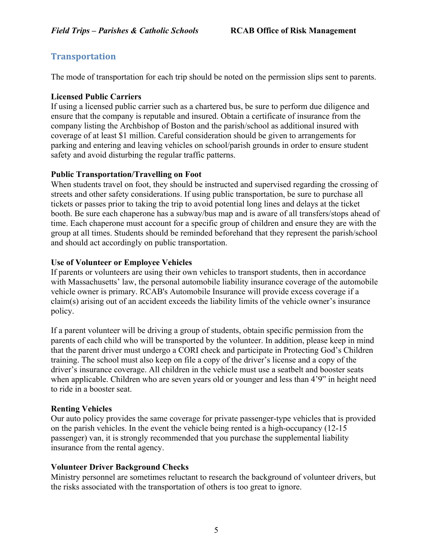# **Transportation**

The mode of transportation for each trip should be noted on the permission slips sent to parents.

#### **Licensed Public Carriers**

If using a licensed public carrier such as a chartered bus, be sure to perform due diligence and ensure that the company is reputable and insured. Obtain a certificate of insurance from the company listing the Archbishop of Boston and the parish/school as additional insured with coverage of at least \$1 million. Careful consideration should be given to arrangements for parking and entering and leaving vehicles on school/parish grounds in order to ensure student safety and avoid disturbing the regular traffic patterns.

#### **Public Transportation/Travelling on Foot**

When students travel on foot, they should be instructed and supervised regarding the crossing of streets and other safety considerations. If using public transportation, be sure to purchase all tickets or passes prior to taking the trip to avoid potential long lines and delays at the ticket booth. Be sure each chaperone has a subway/bus map and is aware of all transfers/stops ahead of time. Each chaperone must account for a specific group of children and ensure they are with the group at all times. Students should be reminded beforehand that they represent the parish/school and should act accordingly on public transportation.

#### **Use of Volunteer or Employee Vehicles**

If parents or volunteers are using their own vehicles to transport students, then in accordance with Massachusetts' law, the personal automobile liability insurance coverage of the automobile vehicle owner is primary. RCAB's Automobile Insurance will provide excess coverage if a claim(s) arising out of an accident exceeds the liability limits of the vehicle owner's insurance policy.

If a parent volunteer will be driving a group of students, obtain specific permission from the parents of each child who will be transported by the volunteer. In addition, please keep in mind that the parent driver must undergo a CORI check and participate in Protecting God's Children training. The school must also keep on file a copy of the driver's license and a copy of the driver's insurance coverage. All children in the vehicle must use a seatbelt and booster seats when applicable. Children who are seven years old or younger and less than 4'9" in height need to ride in a booster seat.

#### **Renting Vehicles**

Our auto policy provides the same coverage for private passenger-type vehicles that is provided on the parish vehicles. In the event the vehicle being rented is a high-occupancy (12-15 passenger) van, it is strongly recommended that you purchase the supplemental liability insurance from the rental agency.

#### **Volunteer Driver Background Checks**

Ministry personnel are sometimes reluctant to research the background of volunteer drivers, but the risks associated with the transportation of others is too great to ignore.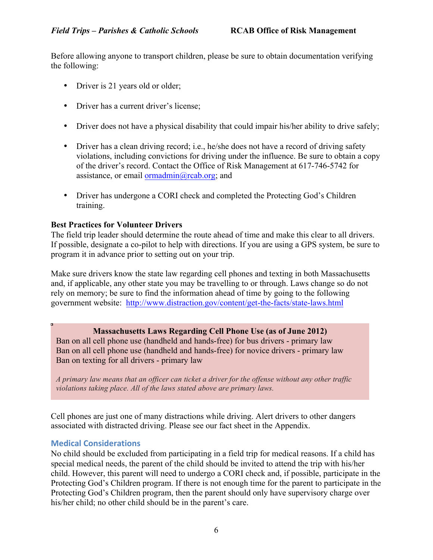Before allowing anyone to transport children, please be sure to obtain documentation verifying the following:

- Driver is 21 years old or older;
- Driver has a current driver's license;
- Driver does not have a physical disability that could impair his/her ability to drive safely;
- Driver has a clean driving record; i.e., he/she does not have a record of driving safety violations, including convictions for driving under the influence. Be sure to obtain a copy of the driver's record. Contact the Office of Risk Management at 617-746-5742 for assistance, or email  $\alpha$ <sup>n</sup>  $\alpha$ <sub>n</sub>  $\alpha$ <sub>n</sub>  $\alpha$ <sub>n</sub>  $\alpha$ <sub>n</sub>  $\alpha$ <sub>n</sub>  $\alpha$ <sub>n</sub>  $\alpha$ <sub>n</sub>  $\alpha$ <sub>n</sub>  $\alpha$ <sub>n</sub>  $\alpha$ <sub>n</sub>  $\alpha$ <sub>n</sub>  $\alpha$ <sub>n</sub>  $\alpha$ <sub>n</sub>  $\alpha$ <sub>n</sub>  $\alpha$ <sub>n</sub>  $\alpha$ <sub>n</sub>  $\alpha$ <sub>n</sub>  $\alpha$ <sub>n</sub>  $\alpha$ <sub>n</sub>  $\alpha$ <sub>n</sub>  $\alpha$ <sub>n</sub>  $\alpha$ <sub>n</sub>  $\alpha$ <sub>n</sub>  $\alpha$ <sub>n</sub>
- Driver has undergone a CORI check and completed the Protecting God's Children training.

#### **Best Practices for Volunteer Drivers**

The field trip leader should determine the route ahead of time and make this clear to all drivers. If possible, designate a co-pilot to help with directions. If you are using a GPS system, be sure to program it in advance prior to setting out on your trip.

Make sure drivers know the state law regarding cell phones and texting in both Massachusetts and, if applicable, any other state you may be travelling to or through. Laws change so do not rely on memory; be sure to find the information ahead of time by going to the following government website: http://www.distraction.gov/content/get-the-facts/state-laws.html

#### **Massachusetts Laws Regarding Cell Phone Use (as of June 2012)**

Ban on all cell phone use (handheld and hands-free) for bus drivers - primary law Ban on all cell phone use (handheld and hands-free) for novice drivers - primary law Ban on texting for all drivers - primary law

*A primary law means that an officer can ticket a driver for the offense without any other traffic violations taking place. All of the laws stated above are primary laws.*

Cell phones are just one of many distractions while driving. Alert drivers to other dangers associated with distracted driving. Please see our fact sheet in the Appendix.

#### **Medical Considerations**

No child should be excluded from participating in a field trip for medical reasons. If a child has special medical needs, the parent of the child should be invited to attend the trip with his/her child. However, this parent will need to undergo a CORI check and, if possible, participate in the Protecting God's Children program. If there is not enough time for the parent to participate in the Protecting God's Children program, then the parent should only have supervisory charge over his/her child; no other child should be in the parent's care.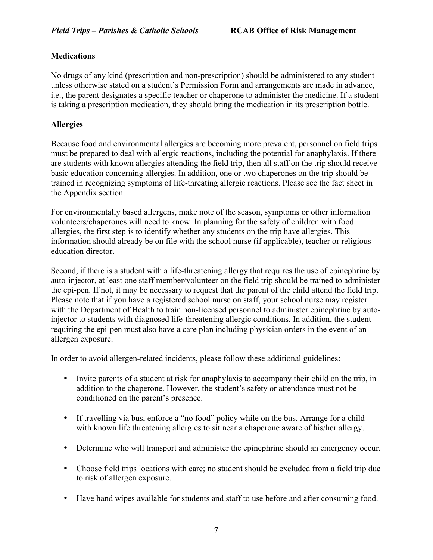#### **Medications**

No drugs of any kind (prescription and non-prescription) should be administered to any student unless otherwise stated on a student's Permission Form and arrangements are made in advance, i.e., the parent designates a specific teacher or chaperone to administer the medicine. If a student is taking a prescription medication, they should bring the medication in its prescription bottle.

#### **Allergies**

Because food and environmental allergies are becoming more prevalent, personnel on field trips must be prepared to deal with allergic reactions, including the potential for anaphylaxis. If there are students with known allergies attending the field trip, then all staff on the trip should receive basic education concerning allergies. In addition, one or two chaperones on the trip should be trained in recognizing symptoms of life-threating allergic reactions. Please see the fact sheet in the Appendix section.

For environmentally based allergens, make note of the season, symptoms or other information volunteers/chaperones will need to know. In planning for the safety of children with food allergies, the first step is to identify whether any students on the trip have allergies. This information should already be on file with the school nurse (if applicable), teacher or religious education director.

Second, if there is a student with a life-threatening allergy that requires the use of epinephrine by auto-injector, at least one staff member/volunteer on the field trip should be trained to administer the epi-pen. If not, it may be necessary to request that the parent of the child attend the field trip. Please note that if you have a registered school nurse on staff, your school nurse may register with the Department of Health to train non-licensed personnel to administer epinephrine by autoinjector to students with diagnosed life-threatening allergic conditions. In addition, the student requiring the epi-pen must also have a care plan including physician orders in the event of an allergen exposure.

In order to avoid allergen-related incidents, please follow these additional guidelines:

- Invite parents of a student at risk for anaphylaxis to accompany their child on the trip, in addition to the chaperone. However, the student's safety or attendance must not be conditioned on the parent's presence.
- If travelling via bus, enforce a "no food" policy while on the bus. Arrange for a child with known life threatening allergies to sit near a chaperone aware of his/her allergy.
- Determine who will transport and administer the epinephrine should an emergency occur.
- Choose field trips locations with care; no student should be excluded from a field trip due to risk of allergen exposure.
- Have hand wipes available for students and staff to use before and after consuming food.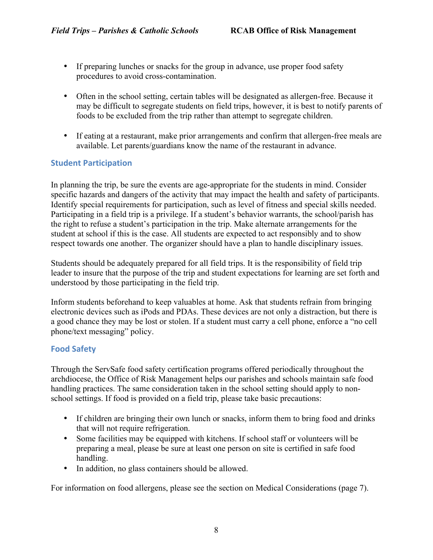- If preparing lunches or snacks for the group in advance, use proper food safety procedures to avoid cross-contamination.
- Often in the school setting, certain tables will be designated as allergen-free. Because it may be difficult to segregate students on field trips, however, it is best to notify parents of foods to be excluded from the trip rather than attempt to segregate children.
- If eating at a restaurant, make prior arrangements and confirm that allergen-free meals are available. Let parents/guardians know the name of the restaurant in advance.

#### **Student Participation**

In planning the trip, be sure the events are age-appropriate for the students in mind. Consider specific hazards and dangers of the activity that may impact the health and safety of participants. Identify special requirements for participation, such as level of fitness and special skills needed. Participating in a field trip is a privilege. If a student's behavior warrants, the school/parish has the right to refuse a student's participation in the trip. Make alternate arrangements for the student at school if this is the case. All students are expected to act responsibly and to show respect towards one another. The organizer should have a plan to handle disciplinary issues.

Students should be adequately prepared for all field trips. It is the responsibility of field trip leader to insure that the purpose of the trip and student expectations for learning are set forth and understood by those participating in the field trip.

Inform students beforehand to keep valuables at home. Ask that students refrain from bringing electronic devices such as iPods and PDAs. These devices are not only a distraction, but there is a good chance they may be lost or stolen. If a student must carry a cell phone, enforce a "no cell phone/text messaging" policy.

#### **Food Safety**

Through the ServSafe food safety certification programs offered periodically throughout the archdiocese, the Office of Risk Management helps our parishes and schools maintain safe food handling practices. The same consideration taken in the school setting should apply to nonschool settings. If food is provided on a field trip, please take basic precautions:

- If children are bringing their own lunch or snacks, inform them to bring food and drinks that will not require refrigeration.
- Some facilities may be equipped with kitchens. If school staff or volunteers will be preparing a meal, please be sure at least one person on site is certified in safe food handling.
- In addition, no glass containers should be allowed.

For information on food allergens, please see the section on Medical Considerations (page 7).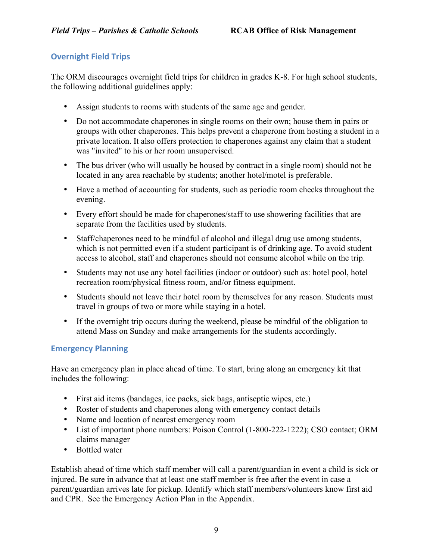#### **Overnight Field Trips**

The ORM discourages overnight field trips for children in grades K-8. For high school students, the following additional guidelines apply:

- Assign students to rooms with students of the same age and gender.
- Do not accommodate chaperones in single rooms on their own; house them in pairs or groups with other chaperones. This helps prevent a chaperone from hosting a student in a private location. It also offers protection to chaperones against any claim that a student was "invited" to his or her room unsupervised.
- The bus driver (who will usually be housed by contract in a single room) should not be located in any area reachable by students; another hotel/motel is preferable.
- Have a method of accounting for students, such as periodic room checks throughout the evening.
- Every effort should be made for chaperones/staff to use showering facilities that are separate from the facilities used by students.
- Staff/chaperones need to be mindful of alcohol and illegal drug use among students, which is not permitted even if a student participant is of drinking age. To avoid student access to alcohol, staff and chaperones should not consume alcohol while on the trip.
- Students may not use any hotel facilities (indoor or outdoor) such as: hotel pool, hotel recreation room/physical fitness room, and/or fitness equipment.
- Students should not leave their hotel room by themselves for any reason. Students must travel in groups of two or more while staying in a hotel.
- If the overnight trip occurs during the weekend, please be mindful of the obligation to attend Mass on Sunday and make arrangements for the students accordingly.

#### **Emergency Planning**

Have an emergency plan in place ahead of time. To start, bring along an emergency kit that includes the following:

- First aid items (bandages, ice packs, sick bags, antiseptic wipes, etc.)
- Roster of students and chaperones along with emergency contact details
- Name and location of nearest emergency room
- List of important phone numbers: Poison Control (1-800-222-1222); CSO contact; ORM claims manager
- Bottled water

Establish ahead of time which staff member will call a parent/guardian in event a child is sick or injured. Be sure in advance that at least one staff member is free after the event in case a parent/guardian arrives late for pickup. Identify which staff members/volunteers know first aid and CPR. See the Emergency Action Plan in the Appendix.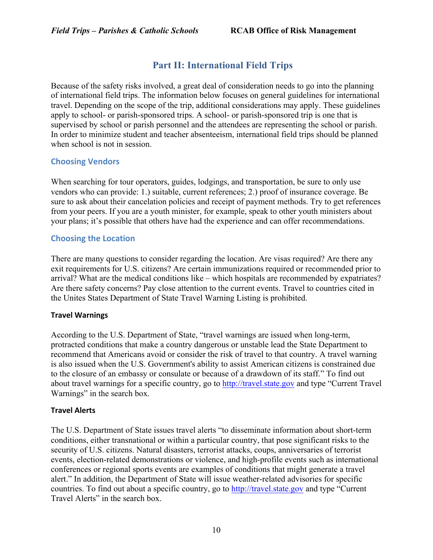# **Part II: International Field Trips**

Because of the safety risks involved, a great deal of consideration needs to go into the planning of international field trips. The information below focuses on general guidelines for international travel. Depending on the scope of the trip, additional considerations may apply. These guidelines apply to school- or parish-sponsored trips. A school- or parish-sponsored trip is one that is supervised by school or parish personnel and the attendees are representing the school or parish. In order to minimize student and teacher absenteeism, international field trips should be planned when school is not in session.

#### **Choosing Vendors**

When searching for tour operators, guides, lodgings, and transportation, be sure to only use vendors who can provide: 1.) suitable, current references; 2.) proof of insurance coverage. Be sure to ask about their cancelation policies and receipt of payment methods. Try to get references from your peers. If you are a youth minister, for example, speak to other youth ministers about your plans; it's possible that others have had the experience and can offer recommendations.

#### **Choosing the Location**

There are many questions to consider regarding the location. Are visas required? Are there any exit requirements for U.S. citizens? Are certain immunizations required or recommended prior to arrival? What are the medical conditions like – which hospitals are recommended by expatriates? Are there safety concerns? Pay close attention to the current events. Travel to countries cited in the Unites States Department of State Travel Warning Listing is prohibited.

#### **Travel Warnings**

According to the U.S. Department of State, "travel warnings are issued when long-term, protracted conditions that make a country dangerous or unstable lead the State Department to recommend that Americans avoid or consider the risk of travel to that country. A travel warning is also issued when the U.S. Government's ability to assist American citizens is constrained due to the closure of an embassy or consulate or because of a drawdown of its staff." To find out about travel warnings for a specific country, go to http://travel.state.gov and type "Current Travel Warnings" in the search box.

#### **Travel Alerts**

The U.S. Department of State issues travel alerts "to disseminate information about short-term conditions, either transnational or within a particular country, that pose significant risks to the security of U.S. citizens. Natural disasters, terrorist attacks, coups, anniversaries of terrorist events, election-related demonstrations or violence, and high-profile events such as international conferences or regional sports events are examples of conditions that might generate a travel alert." In addition, the Department of State will issue weather-related advisories for specific countries. To find out about a specific country, go to http://travel.state.gov and type "Current Travel Alerts" in the search box.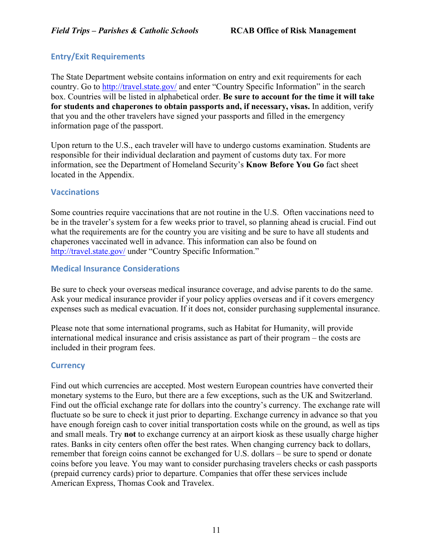#### **Entry/Exit Requirements**

The State Department website contains information on entry and exit requirements for each country. Go to http://travel.state.gov/ and enter "Country Specific Information" in the search box. Countries will be listed in alphabetical order. **Be sure to account for the time it will take for students and chaperones to obtain passports and, if necessary, visas.** In addition, verify that you and the other travelers have signed your passports and filled in the emergency information page of the passport.

Upon return to the U.S., each traveler will have to undergo customs examination. Students are responsible for their individual declaration and payment of customs duty tax. For more information, see the Department of Homeland Security's **Know Before You Go** fact sheet located in the Appendix.

#### **Vaccinations**

Some countries require vaccinations that are not routine in the U.S. Often vaccinations need to be in the traveler's system for a few weeks prior to travel, so planning ahead is crucial. Find out what the requirements are for the country you are visiting and be sure to have all students and chaperones vaccinated well in advance. This information can also be found on http://travel.state.gov/ under "Country Specific Information."

#### **Medical Insurance Considerations**

Be sure to check your overseas medical insurance coverage, and advise parents to do the same. Ask your medical insurance provider if your policy applies overseas and if it covers emergency expenses such as medical evacuation. If it does not, consider purchasing supplemental insurance.

Please note that some international programs, such as Habitat for Humanity, will provide international medical insurance and crisis assistance as part of their program – the costs are included in their program fees.

#### **Currency**

Find out which currencies are accepted. Most western European countries have converted their monetary systems to the Euro, but there are a few exceptions, such as the UK and Switzerland. Find out the official exchange rate for dollars into the country's currency. The exchange rate will fluctuate so be sure to check it just prior to departing. Exchange currency in advance so that you have enough foreign cash to cover initial transportation costs while on the ground, as well as tips and small meals. Try **not** to exchange currency at an airport kiosk as these usually charge higher rates. Banks in city centers often offer the best rates. When changing currency back to dollars, remember that foreign coins cannot be exchanged for U.S. dollars – be sure to spend or donate coins before you leave. You may want to consider purchasing travelers checks or cash passports (prepaid currency cards) prior to departure. Companies that offer these services include American Express, Thomas Cook and Travelex.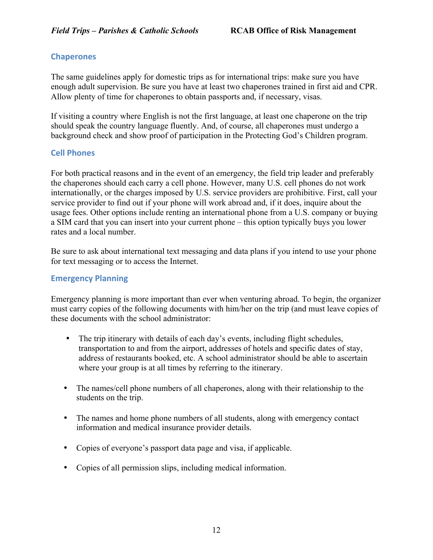#### **Chaperones**

The same guidelines apply for domestic trips as for international trips: make sure you have enough adult supervision. Be sure you have at least two chaperones trained in first aid and CPR. Allow plenty of time for chaperones to obtain passports and, if necessary, visas.

If visiting a country where English is not the first language, at least one chaperone on the trip should speak the country language fluently. And, of course, all chaperones must undergo a background check and show proof of participation in the Protecting God's Children program.

#### **Cell Phones**

For both practical reasons and in the event of an emergency, the field trip leader and preferably the chaperones should each carry a cell phone. However, many U.S. cell phones do not work internationally, or the charges imposed by U.S. service providers are prohibitive. First, call your service provider to find out if your phone will work abroad and, if it does, inquire about the usage fees. Other options include renting an international phone from a U.S. company or buying a SIM card that you can insert into your current phone – this option typically buys you lower rates and a local number.

Be sure to ask about international text messaging and data plans if you intend to use your phone for text messaging or to access the Internet.

#### **Emergency Planning**

Emergency planning is more important than ever when venturing abroad. To begin, the organizer must carry copies of the following documents with him/her on the trip (and must leave copies of these documents with the school administrator:

- The trip itinerary with details of each day's events, including flight schedules, transportation to and from the airport, addresses of hotels and specific dates of stay, address of restaurants booked, etc. A school administrator should be able to ascertain where your group is at all times by referring to the itinerary.
- The names/cell phone numbers of all chaperones, along with their relationship to the students on the trip.
- The names and home phone numbers of all students, along with emergency contact information and medical insurance provider details.
- Copies of everyone's passport data page and visa, if applicable.
- Copies of all permission slips, including medical information.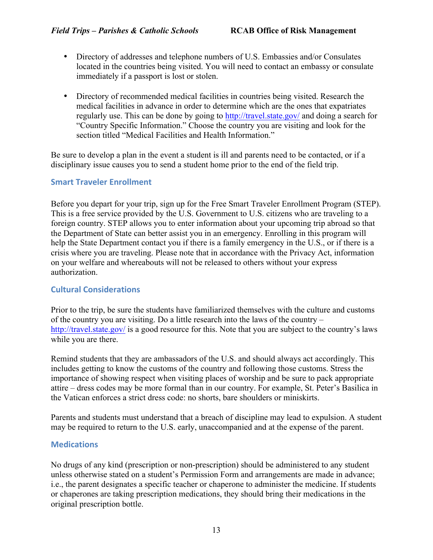- Directory of addresses and telephone numbers of U.S. Embassies and/or Consulates located in the countries being visited. You will need to contact an embassy or consulate immediately if a passport is lost or stolen.
- Directory of recommended medical facilities in countries being visited. Research the medical facilities in advance in order to determine which are the ones that expatriates regularly use. This can be done by going to http://travel.state.gov/ and doing a search for "Country Specific Information." Choose the country you are visiting and look for the section titled "Medical Facilities and Health Information."

Be sure to develop a plan in the event a student is ill and parents need to be contacted, or if a disciplinary issue causes you to send a student home prior to the end of the field trip.

#### **Smart Traveler Enrollment**

Before you depart for your trip, sign up for the Free Smart Traveler Enrollment Program (STEP). This is a free service provided by the U.S. Government to U.S. citizens who are traveling to a foreign country. STEP allows you to enter information about your upcoming trip abroad so that the Department of State can better assist you in an emergency. Enrolling in this program will help the State Department contact you if there is a family emergency in the U.S., or if there is a crisis where you are traveling. Please note that in accordance with the Privacy Act, information on your welfare and whereabouts will not be released to others without your express authorization.

#### **Cultural Considerations**

Prior to the trip, be sure the students have familiarized themselves with the culture and customs of the country you are visiting. Do a little research into the laws of the country – http://travel.state.gov/ is a good resource for this. Note that you are subject to the country's laws while you are there.

Remind students that they are ambassadors of the U.S. and should always act accordingly. This includes getting to know the customs of the country and following those customs. Stress the importance of showing respect when visiting places of worship and be sure to pack appropriate attire – dress codes may be more formal than in our country. For example, St. Peter's Basilica in the Vatican enforces a strict dress code: no shorts, bare shoulders or miniskirts.

Parents and students must understand that a breach of discipline may lead to expulsion. A student may be required to return to the U.S. early, unaccompanied and at the expense of the parent.

#### **Medications**

No drugs of any kind (prescription or non-prescription) should be administered to any student unless otherwise stated on a student's Permission Form and arrangements are made in advance; i.e., the parent designates a specific teacher or chaperone to administer the medicine. If students or chaperones are taking prescription medications, they should bring their medications in the original prescription bottle.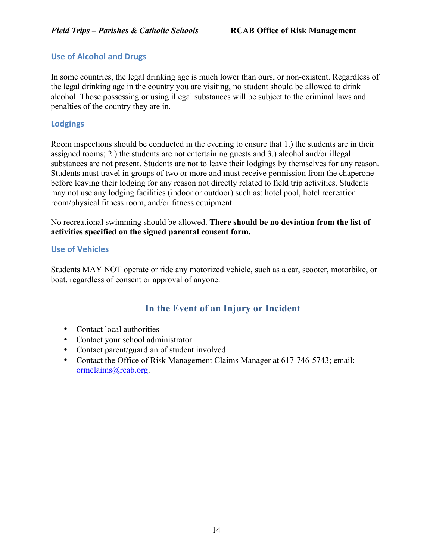#### **Use of Alcohol and Drugs**

In some countries, the legal drinking age is much lower than ours, or non-existent. Regardless of the legal drinking age in the country you are visiting, no student should be allowed to drink alcohol. Those possessing or using illegal substances will be subject to the criminal laws and penalties of the country they are in.

#### **Lodgings**

Room inspections should be conducted in the evening to ensure that 1.) the students are in their assigned rooms; 2.) the students are not entertaining guests and 3.) alcohol and/or illegal substances are not present. Students are not to leave their lodgings by themselves for any reason. Students must travel in groups of two or more and must receive permission from the chaperone before leaving their lodging for any reason not directly related to field trip activities. Students may not use any lodging facilities (indoor or outdoor) such as: hotel pool, hotel recreation room/physical fitness room, and/or fitness equipment.

No recreational swimming should be allowed. **There should be no deviation from the list of activities specified on the signed parental consent form.**

#### **Use of Vehicles**

Students MAY NOT operate or ride any motorized vehicle, such as a car, scooter, motorbike, or boat, regardless of consent or approval of anyone.

# **In the Event of an Injury or Incident**

- Contact local authorities
- Contact your school administrator
- Contact parent/guardian of student involved
- Contact the Office of Risk Management Claims Manager at 617-746-5743; email: ormclaims@rcab.org.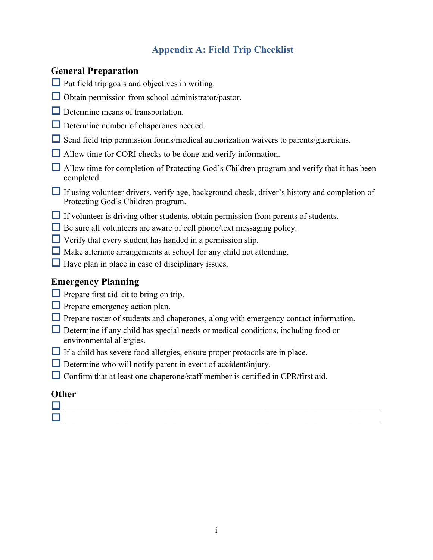# **Appendix A: Field Trip Checklist**

# **General Preparation**

- $\Box$  Put field trip goals and objectives in writing.
- $\Box$  Obtain permission from school administrator/pastor.
- $\Box$  Determine means of transportation.
- $\Box$  Determine number of chaperones needed.
- $\Box$  Send field trip permission forms/medical authorization waivers to parents/guardians.
- $\Box$  Allow time for CORI checks to be done and verify information.
- $\Box$  Allow time for completion of Protecting God's Children program and verify that it has been completed.
- $\Box$  If using volunteer drivers, verify age, background check, driver's history and completion of Protecting God's Children program.
- $\Box$  If volunteer is driving other students, obtain permission from parents of students.
- $\Box$  Be sure all volunteers are aware of cell phone/text messaging policy.
- $\Box$  Verify that every student has handed in a permission slip.
- $\Box$  Make alternate arrangements at school for any child not attending.
- $\Box$  Have plan in place in case of disciplinary issues.

# **Emergency Planning**

- $\Box$  Prepare first aid kit to bring on trip.
- $\Box$  Prepare emergency action plan.
- $\Box$  Prepare roster of students and chaperones, along with emergency contact information.
- $\Box$  Determine if any child has special needs or medical conditions, including food or environmental allergies.
- $\Box$  If a child has severe food allergies, ensure proper protocols are in place.
- $\Box$  Determine who will notify parent in event of accident/injury.
- $\Box$  Confirm that at least one chaperone/staff member is certified in CPR/first aid.

# **Other**

 $\Box$  . The contract of the contract of the contract of the contract of the contract of the contract of the contract of o \_\_\_\_\_\_\_\_\_\_\_\_\_\_\_\_\_\_\_\_\_\_\_\_\_\_\_\_\_\_\_\_\_\_\_\_\_\_\_\_\_\_\_\_\_\_\_\_\_\_\_\_\_\_\_\_\_\_\_\_\_\_\_\_\_\_\_\_\_\_\_\_\_\_\_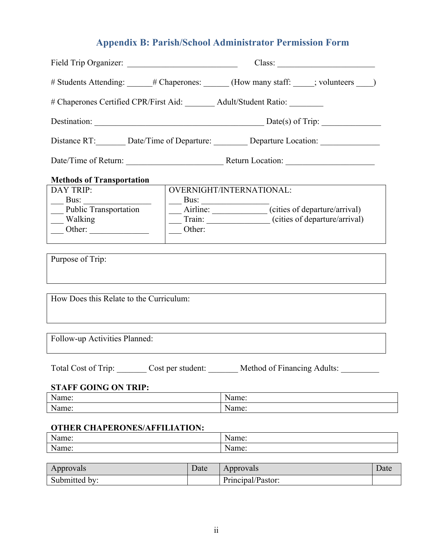# **Appendix B: Parish/School Administrator Permission Form**

|                                                                              | # Students Attending: $\qquad$ # Chaperones: (How many staff: $\qquad$ ; volunteers $\qquad$ ) |                                                     |  |
|------------------------------------------------------------------------------|------------------------------------------------------------------------------------------------|-----------------------------------------------------|--|
| # Chaperones Certified CPR/First Aid: ________ Adult/Student Ratio: ________ |                                                                                                |                                                     |  |
| Destination: Destination: Date(s) of Trip:                                   |                                                                                                |                                                     |  |
| Distance RT: Date/Time of Departure: Departure Location: 1991                |                                                                                                |                                                     |  |
|                                                                              |                                                                                                |                                                     |  |
| <b>Methods of Transportation</b>                                             |                                                                                                |                                                     |  |
| DAY TRIP:                                                                    |                                                                                                | OVERNIGHT/INTERNATIONAL:                            |  |
| Bus:                                                                         |                                                                                                | Bus:                                                |  |
| Public Transportation                                                        |                                                                                                | Airline: Cities of departure/arrival)               |  |
| Walking                                                                      |                                                                                                | Train: _______________(cities of departure/arrival) |  |
| $\frac{\text{Other:}}{\text{Other:}}$                                        | Other:                                                                                         |                                                     |  |
|                                                                              |                                                                                                |                                                     |  |
| Purpose of Trip:<br>How Does this Relate to the Curriculum:                  |                                                                                                |                                                     |  |
| Follow-up Activities Planned:                                                |                                                                                                |                                                     |  |
|                                                                              |                                                                                                |                                                     |  |
| Total Cost of Trip:                                                          | Cost per student:                                                                              | Method of Financing Adults:                         |  |
| <b>STAFF GOING ON TRIP:</b>                                                  |                                                                                                |                                                     |  |
| Name:                                                                        |                                                                                                | Name:                                               |  |
| Name:                                                                        |                                                                                                | Name:                                               |  |
| <b>OTHER CHAPERONES/AFFILIATION:</b>                                         |                                                                                                |                                                     |  |
| Name:                                                                        |                                                                                                | Name:                                               |  |
| Name:<br>Name:                                                               |                                                                                                |                                                     |  |

| Approvals                  | Date | Approvals         | Date |
|----------------------------|------|-------------------|------|
| Submitted<br>$\mathsf{bv}$ |      | Principal/Pastor: |      |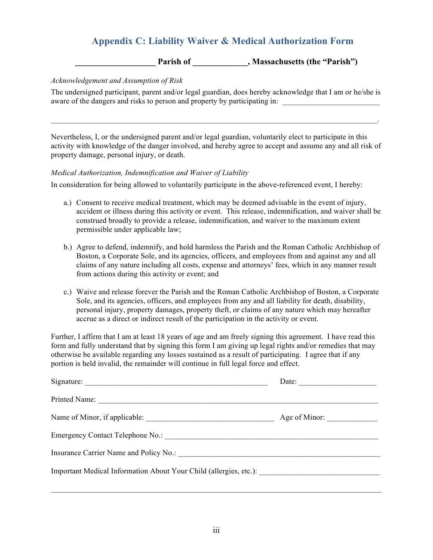# **Appendix C: Liability Waiver & Medical Authorization Form**

Parish of \_\_\_\_\_\_\_\_\_\_\_\_, Massachusetts (the "Parish")

#### *Acknowledgement and Assumption of Risk*

The undersigned participant, parent and/or legal guardian, does hereby acknowledge that I am or he/she is aware of the dangers and risks to person and property by participating in:

 $\mathcal{L}_\mathcal{L} = \mathcal{L}_\mathcal{L} = \mathcal{L}_\mathcal{L} = \mathcal{L}_\mathcal{L} = \mathcal{L}_\mathcal{L} = \mathcal{L}_\mathcal{L} = \mathcal{L}_\mathcal{L} = \mathcal{L}_\mathcal{L} = \mathcal{L}_\mathcal{L} = \mathcal{L}_\mathcal{L} = \mathcal{L}_\mathcal{L} = \mathcal{L}_\mathcal{L} = \mathcal{L}_\mathcal{L} = \mathcal{L}_\mathcal{L} = \mathcal{L}_\mathcal{L} = \mathcal{L}_\mathcal{L} = \mathcal{L}_\mathcal{L}$ 

Nevertheless, I, or the undersigned parent and/or legal guardian, voluntarily elect to participate in this activity with knowledge of the danger involved, and hereby agree to accept and assume any and all risk of property damage, personal injury, or death.

#### *Medical Authorization, Indemnification and Waiver of Liability*

In consideration for being allowed to voluntarily participate in the above-referenced event, I hereby:

- a.) Consent to receive medical treatment, which may be deemed advisable in the event of injury, accident or illness during this activity or event. This release, indemnification, and waiver shall be construed broadly to provide a release, indemnification, and waiver to the maximum extent permissible under applicable law;
- b.) Agree to defend, indemnify, and hold harmless the Parish and the Roman Catholic Archbishop of Boston, a Corporate Sole, and its agencies, officers, and employees from and against any and all claims of any nature including all costs, expense and attorneys' fees, which in any manner result from actions during this activity or event; and
- c.) Waive and release forever the Parish and the Roman Catholic Archbishop of Boston, a Corporate Sole, and its agencies, officers, and employees from any and all liability for death, disability, personal injury, property damages, property theft, or claims of any nature which may hereafter accrue as a direct or indirect result of the participation in the activity or event.

Further, I affirm that I am at least 18 years of age and am freely signing this agreement. I have read this form and fully understand that by signing this form I am giving up legal rights and/or remedies that may otherwise be available regarding any losses sustained as a result of participating. I agree that if any portion is held invalid, the remainder will continue in full legal force and effect.

| Signature:                                                                        | Date: $\qquad \qquad$ |
|-----------------------------------------------------------------------------------|-----------------------|
|                                                                                   |                       |
|                                                                                   |                       |
|                                                                                   |                       |
|                                                                                   |                       |
| Important Medical Information About Your Child (allergies, etc.): _______________ |                       |

 $\mathcal{L}_\text{max} = \mathcal{L}_\text{max} = \mathcal{L}_\text{max} = \mathcal{L}_\text{max} = \mathcal{L}_\text{max} = \mathcal{L}_\text{max} = \mathcal{L}_\text{max} = \mathcal{L}_\text{max} = \mathcal{L}_\text{max} = \mathcal{L}_\text{max} = \mathcal{L}_\text{max} = \mathcal{L}_\text{max} = \mathcal{L}_\text{max} = \mathcal{L}_\text{max} = \mathcal{L}_\text{max} = \mathcal{L}_\text{max} = \mathcal{L}_\text{max} = \mathcal{L}_\text{max} = \mathcal{$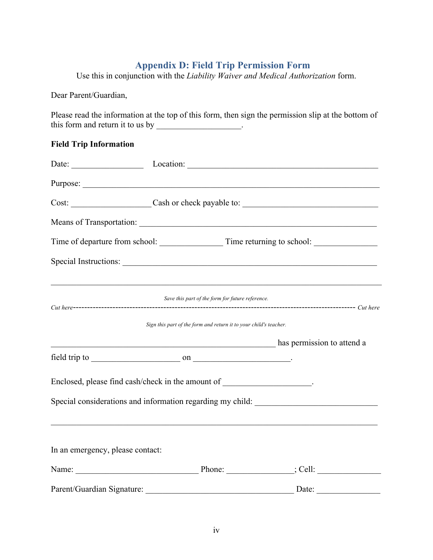# **Appendix D: Field Trip Permission Form**

Use this in conjunction with the *Liability Waiver and Medical Authorization* form.

Dear Parent/Guardian,

Please read the information at the top of this form, then sign the permission slip at the bottom of this form and return it to us by

#### **Field Trip Information**

|                                  | Date: Location: Location: Location: Location: Location: Location: Location: Location: Location: Location: Location: Location: Location: Location: Location: Location: Location: Location: Location: Location: Location: Locati |                                                                                                                                                                                                                                |  |
|----------------------------------|--------------------------------------------------------------------------------------------------------------------------------------------------------------------------------------------------------------------------------|--------------------------------------------------------------------------------------------------------------------------------------------------------------------------------------------------------------------------------|--|
|                                  |                                                                                                                                                                                                                                | Purpose:                                                                                                                                                                                                                       |  |
|                                  |                                                                                                                                                                                                                                | Cost: Cost: Cash or check payable to: Cost: Cost: Cost: Cost: Cost: Cost: Cost: Cost: Cost: Cost: Cost: Cost: Cost: Cost: Cost: Cost: Cost: Cost: Cost: Cost: Cost: Cost: Cost: Cost: Cost: Cost: Cost: Cost: Cost: Cost: Cost |  |
|                                  |                                                                                                                                                                                                                                |                                                                                                                                                                                                                                |  |
|                                  |                                                                                                                                                                                                                                |                                                                                                                                                                                                                                |  |
|                                  |                                                                                                                                                                                                                                |                                                                                                                                                                                                                                |  |
|                                  |                                                                                                                                                                                                                                |                                                                                                                                                                                                                                |  |
|                                  | Save this part of the form for future reference.                                                                                                                                                                               |                                                                                                                                                                                                                                |  |
|                                  | Sign this part of the form and return it to your child's teacher.                                                                                                                                                              |                                                                                                                                                                                                                                |  |
|                                  |                                                                                                                                                                                                                                | a has permission to attend a has permission to attend a                                                                                                                                                                        |  |
|                                  |                                                                                                                                                                                                                                |                                                                                                                                                                                                                                |  |
|                                  | Enclosed, please find cash/check in the amount of                                                                                                                                                                              |                                                                                                                                                                                                                                |  |
|                                  |                                                                                                                                                                                                                                | Special considerations and information regarding my child: ______________________                                                                                                                                              |  |
|                                  |                                                                                                                                                                                                                                |                                                                                                                                                                                                                                |  |
| In an emergency, please contact: |                                                                                                                                                                                                                                |                                                                                                                                                                                                                                |  |
|                                  |                                                                                                                                                                                                                                |                                                                                                                                                                                                                                |  |
| Parent/Guardian Signature:       |                                                                                                                                                                                                                                | Date:                                                                                                                                                                                                                          |  |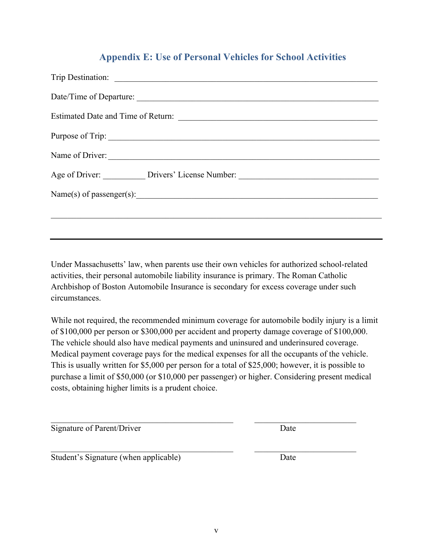# **Appendix E: Use of Personal Vehicles for School Activities**

| Date/Time of Departure:                                                           |
|-----------------------------------------------------------------------------------|
|                                                                                   |
| Purpose of Trip:                                                                  |
| Name of Driver:                                                                   |
| Age of Driver: ___________ Drivers' License Number: _____________________________ |
| Name(s) of passenger(s):                                                          |
|                                                                                   |
|                                                                                   |

Under Massachusetts' law, when parents use their own vehicles for authorized school-related activities, their personal automobile liability insurance is primary. The Roman Catholic Archbishop of Boston Automobile Insurance is secondary for excess coverage under such circumstances.

While not required, the recommended minimum coverage for automobile bodily injury is a limit of \$100,000 per person or \$300,000 per accident and property damage coverage of \$100,000. The vehicle should also have medical payments and uninsured and underinsured coverage. Medical payment coverage pays for the medical expenses for all the occupants of the vehicle. This is usually written for \$5,000 per person for a total of \$25,000; however, it is possible to purchase a limit of \$50,000 (or \$10,000 per passenger) or higher. Considering present medical costs, obtaining higher limits is a prudent choice.

 $\mathcal{L}_\text{max} = \mathcal{L}_\text{max} = \mathcal{L}_\text{max} = \mathcal{L}_\text{max} = \mathcal{L}_\text{max} = \mathcal{L}_\text{max} = \mathcal{L}_\text{max} = \mathcal{L}_\text{max} = \mathcal{L}_\text{max} = \mathcal{L}_\text{max} = \mathcal{L}_\text{max} = \mathcal{L}_\text{max} = \mathcal{L}_\text{max} = \mathcal{L}_\text{max} = \mathcal{L}_\text{max} = \mathcal{L}_\text{max} = \mathcal{L}_\text{max} = \mathcal{L}_\text{max} = \mathcal{$ 

 $\mathcal{L}_\text{max}$  , and the contribution of the contribution of the contribution of the contribution of the contribution of the contribution of the contribution of the contribution of the contribution of the contribution of t

Signature of Parent/Driver Date

Student's Signature (when applicable) Date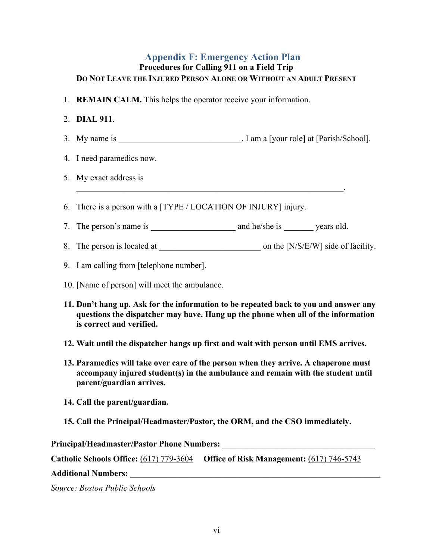#### **Appendix F: Emergency Action Plan Procedures for Calling 911 on a Field Trip DO NOT LEAVE THE INJURED PERSON ALONE OR WITHOUT AN ADULT PRESENT**

1. **REMAIN CALM.** This helps the operator receive your information.

#### 2. **DIAL 911**.

- 3. My name is \_\_\_\_\_\_\_\_\_\_\_\_\_\_\_\_\_\_\_\_\_\_\_\_\_\_\_\_\_. I am a [your role] at [Parish/School].
- 4. I need paramedics now.
- 5. My exact address is
- 6. There is a person with a [TYPE / LOCATION OF INJURY] injury.
- 7. The person's name is \_\_\_\_\_\_\_\_\_\_\_\_\_\_\_\_\_\_\_\_ and he/she is \_\_\_\_\_\_\_ years old.

 $\mathcal{L}_\text{max} = \mathcal{L}_\text{max} = \mathcal{L}_\text{max} = \mathcal{L}_\text{max} = \mathcal{L}_\text{max} = \mathcal{L}_\text{max} = \mathcal{L}_\text{max} = \mathcal{L}_\text{max} = \mathcal{L}_\text{max} = \mathcal{L}_\text{max} = \mathcal{L}_\text{max} = \mathcal{L}_\text{max} = \mathcal{L}_\text{max} = \mathcal{L}_\text{max} = \mathcal{L}_\text{max} = \mathcal{L}_\text{max} = \mathcal{L}_\text{max} = \mathcal{L}_\text{max} = \mathcal{$ 

- 8. The person is located at \_\_\_\_\_\_\_\_\_\_\_\_\_\_\_\_\_\_\_\_\_\_\_\_ on the [N/S/E/W] side of facility.
- 9. I am calling from [telephone number].
- 10. [Name of person] will meet the ambulance.
- **11. Don't hang up. Ask for the information to be repeated back to you and answer any questions the dispatcher may have. Hang up the phone when all of the information is correct and verified.**
- **12. Wait until the dispatcher hangs up first and wait with person until EMS arrives.**
- **13. Paramedics will take over care of the person when they arrive. A chaperone must accompany injured student(s) in the ambulance and remain with the student until parent/guardian arrives.**
- **14. Call the parent/guardian.**
- **15. Call the Principal/Headmaster/Pastor, the ORM, and the CSO immediately.**

**Principal/Headmaster/Pastor Phone Numbers:** \_\_\_\_\_\_\_\_\_\_\_\_\_\_\_\_\_\_\_\_\_\_\_\_\_\_\_\_\_\_\_\_\_\_\_\_

**Catholic Schools Office:** (617) 779-3604 **Office of Risk Management:** (617) 746-5743

**Additional Numbers:** \_\_\_\_\_\_\_\_\_\_\_\_\_\_\_\_\_\_\_\_\_\_\_\_\_\_\_\_\_\_\_\_\_\_\_\_\_\_\_\_\_\_\_\_\_\_\_\_\_\_\_\_\_\_\_\_\_\_\_

*Source: Boston Public Schools*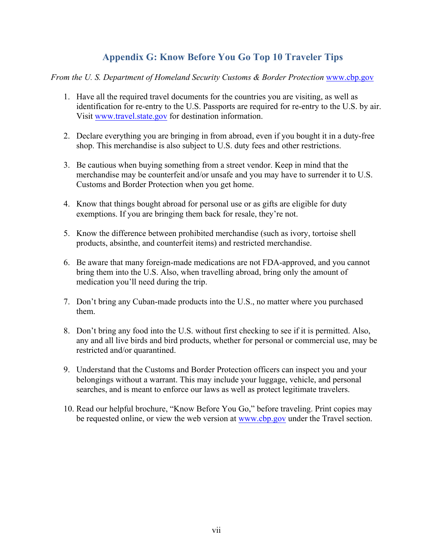# **Appendix G: Know Before You Go Top 10 Traveler Tips**

#### *From the U. S. Department of Homeland Security Customs & Border Protection* www.cbp.gov

- 1. Have all the required travel documents for the countries you are visiting, as well as identification for re-entry to the U.S. Passports are required for re-entry to the U.S. by air. Visit www.travel.state.gov for destination information.
- 2. Declare everything you are bringing in from abroad, even if you bought it in a duty-free shop. This merchandise is also subject to U.S. duty fees and other restrictions.
- 3. Be cautious when buying something from a street vendor. Keep in mind that the merchandise may be counterfeit and/or unsafe and you may have to surrender it to U.S. Customs and Border Protection when you get home.
- 4. Know that things bought abroad for personal use or as gifts are eligible for duty exemptions. If you are bringing them back for resale, they're not.
- 5. Know the difference between prohibited merchandise (such as ivory, tortoise shell products, absinthe, and counterfeit items) and restricted merchandise.
- 6. Be aware that many foreign-made medications are not FDA-approved, and you cannot bring them into the U.S. Also, when travelling abroad, bring only the amount of medication you'll need during the trip.
- 7. Don't bring any Cuban-made products into the U.S., no matter where you purchased them.
- 8. Don't bring any food into the U.S. without first checking to see if it is permitted. Also, any and all live birds and bird products, whether for personal or commercial use, may be restricted and/or quarantined.
- 9. Understand that the Customs and Border Protection officers can inspect you and your belongings without a warrant. This may include your luggage, vehicle, and personal searches, and is meant to enforce our laws as well as protect legitimate travelers.
- 10. Read our helpful brochure, "Know Before You Go," before traveling. Print copies may be requested online, or view the web version at www.cbp.gov under the Travel section.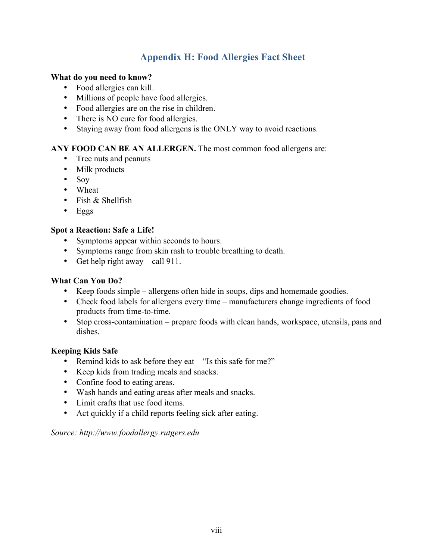# **Appendix H: Food Allergies Fact Sheet**

#### **What do you need to know?**

- Food allergies can kill.
- Millions of people have food allergies.
- Food allergies are on the rise in children.
- There is NO cure for food allergies.
- Staying away from food allergens is the ONLY way to avoid reactions.

#### **ANY FOOD CAN BE AN ALLERGEN.** The most common food allergens are:

- Tree nuts and peanuts
- Milk products
- Soy
- Wheat
- Fish & Shellfish
- Eggs

#### **Spot a Reaction: Safe a Life!**

- Symptoms appear within seconds to hours.
- Symptoms range from skin rash to trouble breathing to death.
- Get help right away call 911.

#### **What Can You Do?**

- Keep foods simple allergens often hide in soups, dips and homemade goodies.
- Check food labels for allergens every time manufacturers change ingredients of food products from time-to-time.
- Stop cross-contamination prepare foods with clean hands, workspace, utensils, pans and dishes.

#### **Keeping Kids Safe**

- Remind kids to ask before they eat "Is this safe for me?"
- Keep kids from trading meals and snacks.
- Confine food to eating areas.
- Wash hands and eating areas after meals and snacks.
- Limit crafts that use food items.
- Act quickly if a child reports feeling sick after eating.

#### *Source: http://www.foodallergy.rutgers.edu*